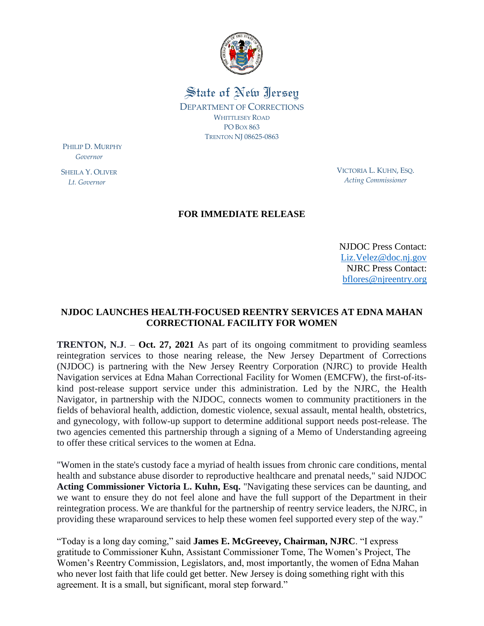

State of New Jersey DEPARTMENT OF CORRECTIONS WHITTLESEY ROAD PO BOX 863 TRENTON NJ 08625-0863

PHILIP D. MURPHY  *Governor*

SHEILA Y. OLIVER  *Lt. Governor*

VICTORIA L. KUHN, ESQ. *Acting Commissioner*

## **FOR IMMEDIATE RELEASE**

NJDOC Press Contact: [Liz.Velez@doc.nj.gov](mailto:Liz.Velez@doc.nj.gov) NJRC Press Contact: [bflores@njreentry.org](mailto:bflores@njreentry.org)

## **NJDOC LAUNCHES HEALTH-FOCUSED REENTRY SERVICES AT EDNA MAHAN CORRECTIONAL FACILITY FOR WOMEN**

**TRENTON, N.J**. – **Oct. 27, 2021** As part of its ongoing commitment to providing seamless reintegration services to those nearing release, the New Jersey Department of Corrections (NJDOC) is partnering with the New Jersey Reentry Corporation (NJRC) to provide Health Navigation services at Edna Mahan Correctional Facility for Women (EMCFW), the first-of-itskind post-release support service under this administration. Led by the NJRC, the Health Navigator, in partnership with the NJDOC, connects women to community practitioners in the fields of behavioral health, addiction, domestic violence, sexual assault, mental health, obstetrics, and gynecology, with follow-up support to determine additional support needs post-release. The two agencies cemented this partnership through a signing of a Memo of Understanding agreeing to offer these critical services to the women at Edna.

"Women in the state's custody face a myriad of health issues from chronic care conditions, mental health and substance abuse disorder to reproductive healthcare and prenatal needs," said NJDOC **Acting Commissioner Victoria L. Kuhn, Esq.** "Navigating these services can be daunting, and we want to ensure they do not feel alone and have the full support of the Department in their reintegration process. We are thankful for the partnership of reentry service leaders, the NJRC, in providing these wraparound services to help these women feel supported every step of the way."

"Today is a long day coming," said **James E. McGreevey, Chairman, NJRC**. "I express gratitude to Commissioner Kuhn, Assistant Commissioner Tome, The Women's Project, The Women's Reentry Commission, Legislators, and, most importantly, the women of Edna Mahan who never lost faith that life could get better. New Jersey is doing something right with this agreement. It is a small, but significant, moral step forward."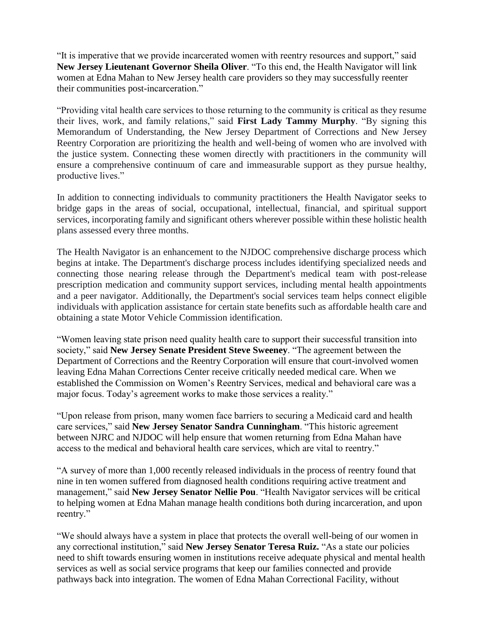"It is imperative that we provide incarcerated women with reentry resources and support," said **New Jersey Lieutenant Governor Sheila Oliver**. "To this end, the Health Navigator will link women at Edna Mahan to New Jersey health care providers so they may successfully reenter their communities post-incarceration."

"Providing vital health care services to those returning to the community is critical as they resume their lives, work, and family relations," said **First Lady Tammy Murphy**. "By signing this Memorandum of Understanding, the New Jersey Department of Corrections and New Jersey Reentry Corporation are prioritizing the health and well-being of women who are involved with the justice system. Connecting these women directly with practitioners in the community will ensure a comprehensive continuum of care and immeasurable support as they pursue healthy, productive lives."

In addition to connecting individuals to community practitioners the Health Navigator seeks to bridge gaps in the areas of social, occupational, intellectual, financial, and spiritual support services, incorporating family and significant others wherever possible within these holistic health plans assessed every three months.

The Health Navigator is an enhancement to the NJDOC comprehensive discharge process which begins at intake. The Department's discharge process includes identifying specialized needs and connecting those nearing release through the Department's medical team with post-release prescription medication and community support services, including mental health appointments and a peer navigator. Additionally, the Department's social services team helps connect eligible individuals with application assistance for certain state benefits such as affordable health care and obtaining a state Motor Vehicle Commission identification.

"Women leaving state prison need quality health care to support their successful transition into society," said **New Jersey Senate President Steve Sweeney**. "The agreement between the Department of Corrections and the Reentry Corporation will ensure that court-involved women leaving Edna Mahan Corrections Center receive critically needed medical care. When we established the Commission on Women's Reentry Services, medical and behavioral care was a major focus. Today's agreement works to make those services a reality."

"Upon release from prison, many women face barriers to securing a Medicaid card and health care services," said **New Jersey Senator Sandra Cunningham**. "This historic agreement between NJRC and NJDOC will help ensure that women returning from Edna Mahan have access to the medical and behavioral health care services, which are vital to reentry."

"A survey of more than 1,000 recently released individuals in the process of reentry found that nine in ten women suffered from diagnosed health conditions requiring active treatment and management," said **New Jersey Senator Nellie Pou**. "Health Navigator services will be critical to helping women at Edna Mahan manage health conditions both during incarceration, and upon reentry."

"We should always have a system in place that protects the overall well-being of our women in any correctional institution," said **New Jersey Senator Teresa Ruiz.** "As a state our policies need to shift towards ensuring women in institutions receive adequate physical and mental health services as well as social service programs that keep our families connected and provide pathways back into integration. The women of Edna Mahan Correctional Facility, without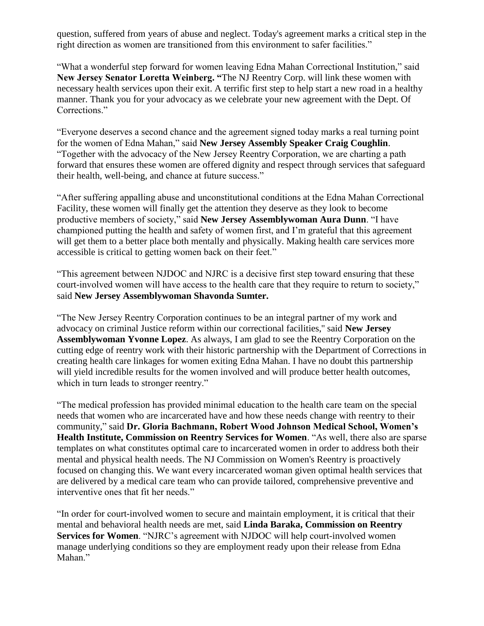question, suffered from years of abuse and neglect. Today's agreement marks a critical step in the right direction as women are transitioned from this environment to safer facilities."

"What a wonderful step forward for women leaving Edna Mahan Correctional Institution," said **New Jersey Senator Loretta Weinberg. "**The NJ Reentry Corp. will link these women with necessary health services upon their exit. A terrific first step to help start a new road in a healthy manner. Thank you for your advocacy as we celebrate your new agreement with the Dept. Of Corrections."

"Everyone deserves a second chance and the agreement signed today marks a real turning point for the women of Edna Mahan," said **New Jersey Assembly Speaker Craig Coughlin**. "Together with the advocacy of the New Jersey Reentry Corporation, we are charting a path forward that ensures these women are offered dignity and respect through services that safeguard their health, well-being, and chance at future success."

"After suffering appalling abuse and unconstitutional conditions at the Edna Mahan Correctional Facility, these women will finally get the attention they deserve as they look to become productive members of society," said **New Jersey Assemblywoman Aura Dunn**. "I have championed putting the health and safety of women first, and I'm grateful that this agreement will get them to a better place both mentally and physically. Making health care services more accessible is critical to getting women back on their feet."

"This agreement between NJDOC and NJRC is a decisive first step toward ensuring that these court-involved women will have access to the health care that they require to return to society," said **New Jersey Assemblywoman Shavonda Sumter.** 

"The New Jersey Reentry Corporation continues to be an integral partner of my work and advocacy on criminal Justice reform within our correctional facilities,'' said **New Jersey Assemblywoman Yvonne Lopez**. As always, I am glad to see the Reentry Corporation on the cutting edge of reentry work with their historic partnership with the Department of Corrections in creating health care linkages for women exiting Edna Mahan. I have no doubt this partnership will yield incredible results for the women involved and will produce better health outcomes, which in turn leads to stronger reentry."

"The medical profession has provided minimal education to the health care team on the special needs that women who are incarcerated have and how these needs change with reentry to their community," said **Dr. Gloria Bachmann, Robert Wood Johnson Medical School, Women's Health Institute, Commission on Reentry Services for Women**. "As well, there also are sparse templates on what constitutes optimal care to incarcerated women in order to address both their mental and physical health needs. The NJ Commission on Women's Reentry is proactively focused on changing this. We want every incarcerated woman given optimal health services that are delivered by a medical care team who can provide tailored, comprehensive preventive and interventive ones that fit her needs."

"In order for court-involved women to secure and maintain employment, it is critical that their mental and behavioral health needs are met, said **Linda Baraka, Commission on Reentry Services for Women**. "NJRC's agreement with NJDOC will help court-involved women manage underlying conditions so they are employment ready upon their release from Edna Mahan."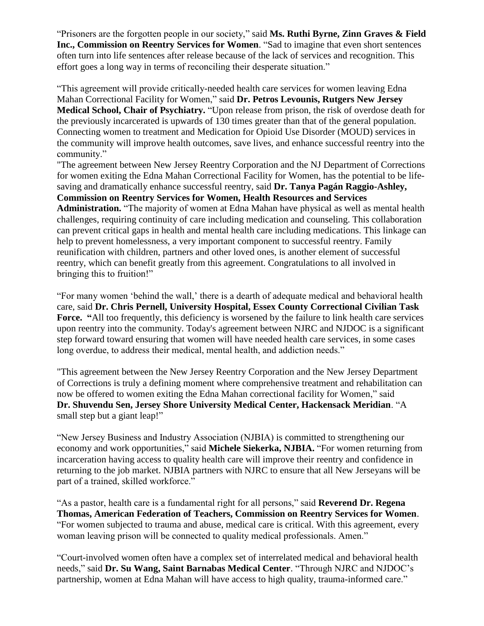"Prisoners are the forgotten people in our society," said **Ms. Ruthi Byrne, Zinn Graves & Field Inc., Commission on Reentry Services for Women**. "Sad to imagine that even short sentences often turn into life sentences after release because of the lack of services and recognition. This effort goes a long way in terms of reconciling their desperate situation."

"This agreement will provide critically-needed health care services for women leaving Edna Mahan Correctional Facility for Women," said **Dr. Petros Levounis, Rutgers New Jersey Medical School, Chair of Psychiatry.** "Upon release from prison, the risk of overdose death for the previously incarcerated is upwards of 130 times greater than that of the general population. Connecting women to treatment and Medication for Opioid Use Disorder (MOUD) services in the community will improve health outcomes, save lives, and enhance successful reentry into the community."

"The agreement between New Jersey Reentry Corporation and the NJ Department of Corrections for women exiting the Edna Mahan Correctional Facility for Women, has the potential to be lifesaving and dramatically enhance successful reentry, said **Dr. Tanya Pagán Raggio-Ashley, Commission on Reentry Services for Women, Health Resources and Services Administration.** "The majority of women at Edna Mahan have physical as well as mental health challenges, requiring continuity of care including medication and counseling. This collaboration can prevent critical gaps in health and mental health care including medications. This linkage can help to prevent homelessness, a very important component to successful reentry. Family reunification with children, partners and other loved ones, is another element of successful reentry, which can benefit greatly from this agreement. Congratulations to all involved in bringing this to fruition!"

"For many women 'behind the wall,' there is a dearth of adequate medical and behavioral health care, said **Dr. Chris Pernell, University Hospital, Essex County Correctional Civilian Task**  Force. "All too frequently, this deficiency is worsened by the failure to link health care services upon reentry into the community. Today's agreement between NJRC and NJDOC is a significant step forward toward ensuring that women will have needed health care services, in some cases long overdue, to address their medical, mental health, and addiction needs."

"This agreement between the New Jersey Reentry Corporation and the New Jersey Department of Corrections is truly a defining moment where comprehensive treatment and rehabilitation can now be offered to women exiting the Edna Mahan correctional facility for Women," said **Dr. Shuvendu Sen, Jersey Shore University Medical Center, Hackensack Meridian**. "A small step but a giant leap!"

"New Jersey Business and Industry Association (NJBIA) is committed to strengthening our economy and work opportunities," said **Michele Siekerka, NJBIA.** "For women returning from incarceration having access to quality health care will improve their reentry and confidence in returning to the job market. NJBIA partners with NJRC to ensure that all New Jerseyans will be part of a trained, skilled workforce."

"As a pastor, health care is a fundamental right for all persons," said **Reverend Dr. Regena Thomas, American Federation of Teachers, Commission on Reentry Services for Women**. "For women subjected to trauma and abuse, medical care is critical. With this agreement, every woman leaving prison will be connected to quality medical professionals. Amen."

"Court-involved women often have a complex set of interrelated medical and behavioral health needs," said **Dr. Su Wang, Saint Barnabas Medical Center**. "Through NJRC and NJDOC's partnership, women at Edna Mahan will have access to high quality, trauma-informed care."